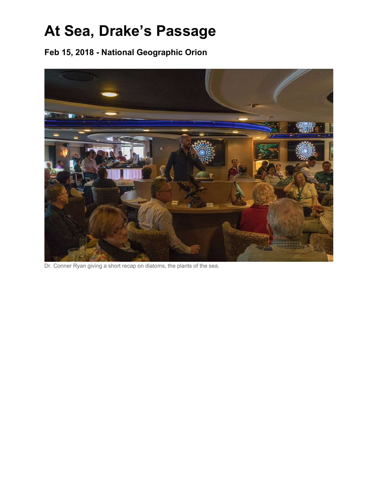## At Sea, Drake's Passage

Feb 15, 2018 - National Geographic Orion



Dr. Conner Ryan giving a short recap on diatoms, the plants of the sea.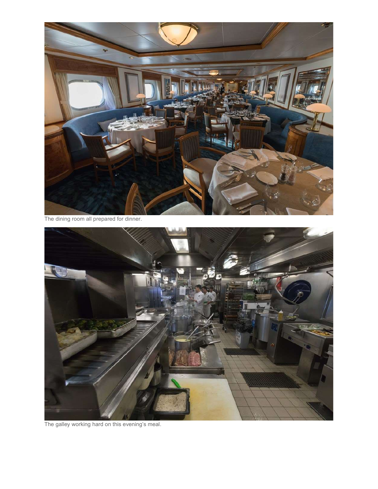

The dining room all prepared for dinner.



The galley working hard on this evening's meal.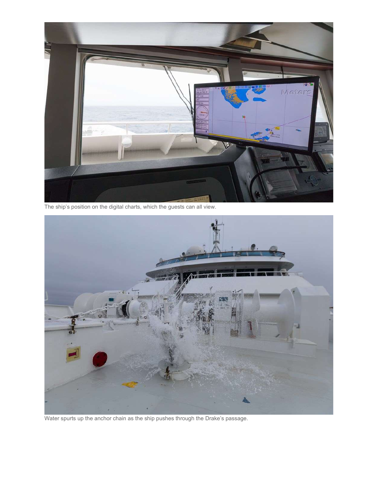

The ship's position on the digital charts, which the guests can all view.



Water spurts up the anchor chain as the ship pushes through the Drake's passage.